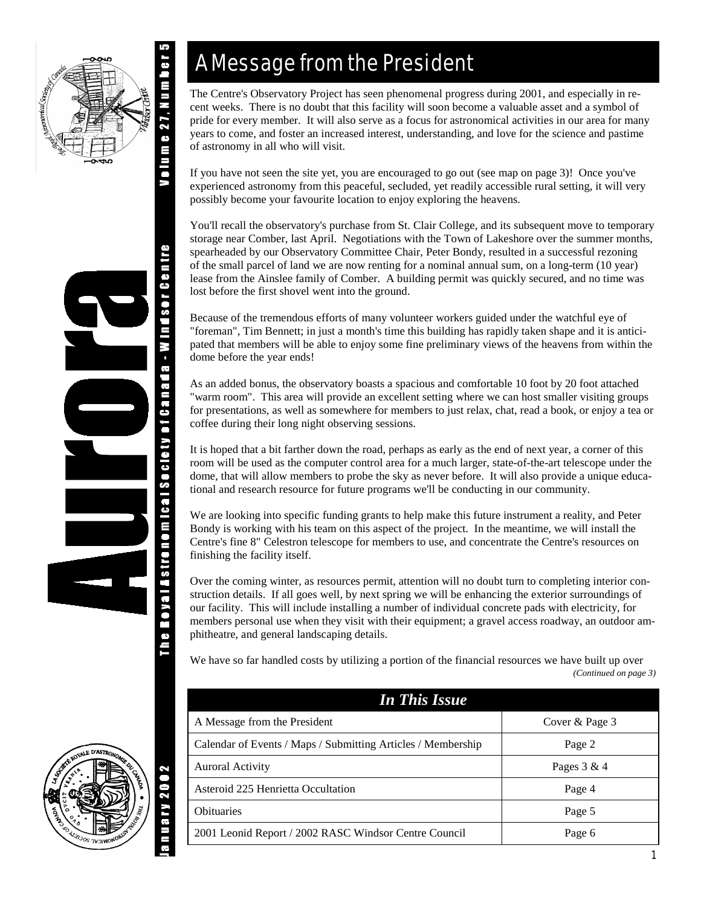

a.nu s o r c s p u

IN - Royal Astronomical Society of Canada

## A Message from the President

The Centre's Observatory Project has seen phenomenal progress during 2001, and especially in recent weeks. There is no doubt that this facility will soon become a valuable asset and a symbol of pride for every member. It will also serve as a focus for astronomical activities in our area for many years to come, and foster an increased interest, understanding, and love for the science and pastime of astronomy in all who will visit.

If you have not seen the site yet, you are encouraged to go out (see map on page 3)! Once you've experienced astronomy from this peaceful, secluded, yet readily accessible rural setting, it will very possibly become your favourite location to enjoy exploring the heavens.

You'll recall the observatory's purchase from St. Clair College, and its subsequent move to temporary storage near Comber, last April. Negotiations with the Town of Lakeshore over the summer months, spearheaded by our Observatory Committee Chair, Peter Bondy, resulted in a successful rezoning of the small parcel of land we are now renting for a nominal annual sum, on a long-term (10 year) lease from the Ainslee family of Comber. A building permit was quickly secured, and no time was lost before the first shovel went into the ground.

Because of the tremendous efforts of many volunteer workers guided under the watchful eye of "foreman", Tim Bennett; in just a month's time this building has rapidly taken shape and it is anticipated that members will be able to enjoy some fine preliminary views of the heavens from within the dome before the year ends!

As an added bonus, the observatory boasts a spacious and comfortable 10 foot by 20 foot attached "warm room". This area will provide an excellent setting where we can host smaller visiting groups for presentations, as well as somewhere for members to just relax, chat, read a book, or enjoy a tea or coffee during their long night observing sessions.

It is hoped that a bit farther down the road, perhaps as early as the end of next year, a corner of this room will be used as the computer control area for a much larger, state-of-the-art telescope under the dome, that will allow members to probe the sky as never before. It will also provide a unique educational and research resource for future programs we'll be conducting in our community.

We are looking into specific funding grants to help make this future instrument a reality, and Peter Bondy is working with his team on this aspect of the project. In the meantime, we will install the Centre's fine 8" Celestron telescope for members to use, and concentrate the Centre's resources on finishing the facility itself.

Over the coming winter, as resources permit, attention will no doubt turn to completing interior construction details. If all goes well, by next spring we will be enhancing the exterior surroundings of our facility. This will include installing a number of individual concrete pads with electricity, for members personal use when they visit with their equipment; a gravel access roadway, an outdoor amphitheatre, and general landscaping details.

We have so far handled costs by utilizing a portion of the financial resources we have built up over *(Continued on page 3)* 

| <b>In This Issue</b>                                         |                |
|--------------------------------------------------------------|----------------|
| A Message from the President                                 | Cover & Page 3 |
| Calendar of Events / Maps / Submitting Articles / Membership | Page 2         |
| <b>Auroral Activity</b>                                      | Pages $3 & 4$  |
| Asteroid 225 Henrietta Occultation                           | Page 4         |
| <b>Obituaries</b>                                            | Page 5         |
| 2001 Leonid Report / 2002 RASC Windsor Centre Council        | Page 6         |

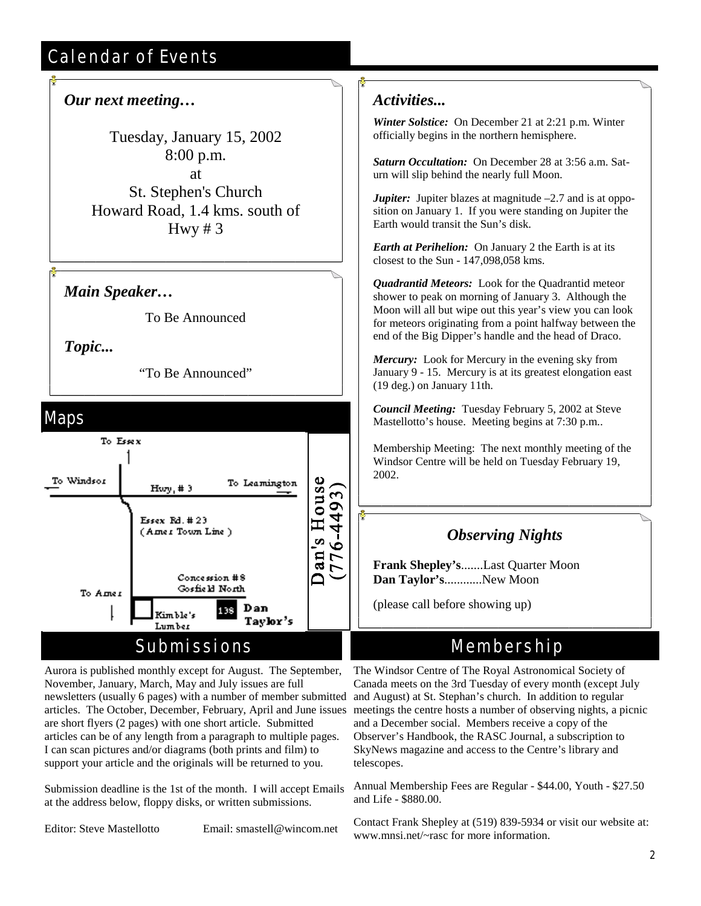## Calendar of Events

## *Our next meeting…*

Tuesday, January 15, 2002 8:00 p.m. at St. Stephen's Church Howard Road, 1.4 kms. south of Hwy  $# 3$ 

### *Main Speaker…*

To Be Announced

*Topic...*

"To Be Announced"



## Submissions

Aurora is published monthly except for August. The September, November, January, March, May and July issues are full newsletters (usually 6 pages) with a number of member submitted articles. The October, December, February, April and June issues are short flyers (2 pages) with one short article. Submitted articles can be of any length from a paragraph to multiple pages. I can scan pictures and/or diagrams (both prints and film) to support your article and the originals will be returned to you.

Submission deadline is the 1st of the month. I will accept Emails at the address below, floppy disks, or written submissions.

Editor: Steve Mastellotto Email: smastell@wincom.net

## *Activities...*

*Winter Solstice:* On December 21 at 2:21 p.m. Winter officially begins in the northern hemisphere.

*Saturn Occultation:* On December 28 at 3:56 a.m. Saturn will slip behind the nearly full Moon.

*Jupiter:* Jupiter blazes at magnitude  $-2.7$  and is at opposition on January 1. If you were standing on Jupiter the Earth would transit the Sun's disk.

*Earth at Perihelion:* On January 2 the Earth is at its closest to the Sun - 147,098,058 kms.

*Quadrantid Meteors:* Look for the Quadrantid meteor shower to peak on morning of January 3. Although the Moon will all but wipe out this year's view you can look for meteors originating from a point halfway between the end of the Big Dipper's handle and the head of Draco.

*Mercury:* Look for Mercury in the evening sky from January 9 - 15. Mercury is at its greatest elongation east (19 deg.) on January 11th.

*Council Meeting:* Tuesday February 5, 2002 at Steve Mastellotto's house. Meeting begins at 7:30 p.m..

Membership Meeting: The next monthly meeting of the Windsor Centre will be held on Tuesday February 19, 2002.

## *Observing Nights*

**Frank Shepley's**.......Last Quarter Moon **Dan Taylor's**............New Moon

(please call before showing up)

## Membership

The Windsor Centre of The Royal Astronomical Society of Canada meets on the 3rd Tuesday of every month (except July and August) at St. Stephan's church. In addition to regular meetings the centre hosts a number of observing nights, a picnic and a December social. Members receive a copy of the Observer's Handbook, the RASC Journal, a subscription to SkyNews magazine and access to the Centre's library and telescopes.

Annual Membership Fees are Regular - \$44.00, Youth - \$27.50 and Life - \$880.00.

Contact Frank Shepley at (519) 839-5934 or visit our website at: www.mnsi.net/~rasc for more information.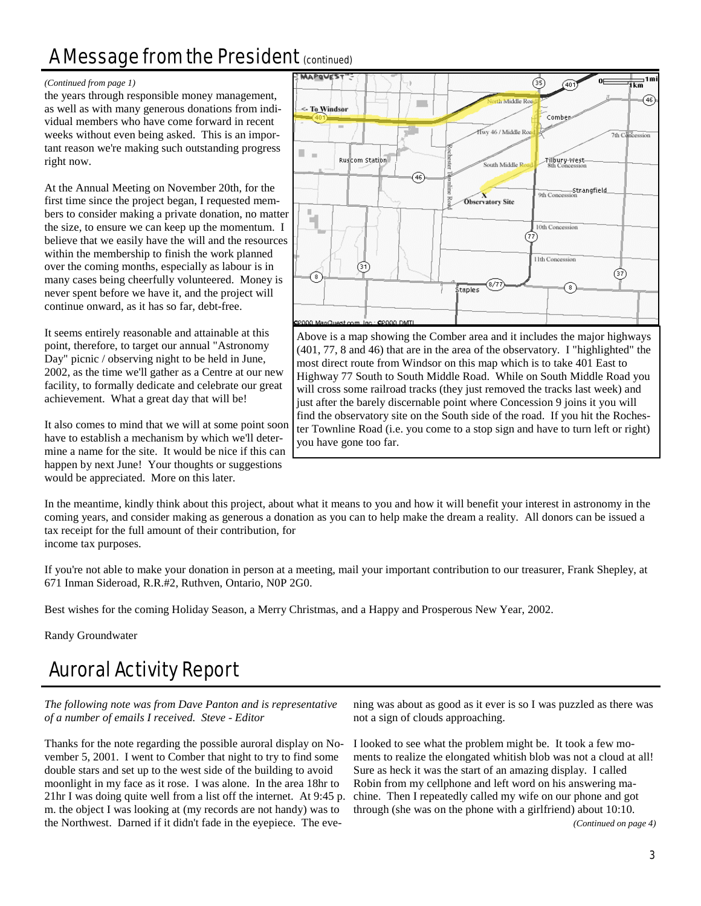## A Message from the President (continued)

#### *(Continued from page 1)*

the years through responsible money management, as well as with many generous donations from individual members who have come forward in recent weeks without even being asked. This is an important reason we're making such outstanding progress right now.

At the Annual Meeting on November 20th, for the first time since the project began, I requested members to consider making a private donation, no matter the size, to ensure we can keep up the momentum. I believe that we easily have the will and the resources within the membership to finish the work planned over the coming months, especially as labour is in many cases being cheerfully volunteered. Money is never spent before we have it, and the project will continue onward, as it has so far, debt-free.

It seems entirely reasonable and attainable at this point, therefore, to target our annual "Astronomy Day" picnic / observing night to be held in June, 2002, as the time we'll gather as a Centre at our new facility, to formally dedicate and celebrate our great achievement. What a great day that will be!

It also comes to mind that we will at some point soon have to establish a mechanism by which we'll determine a name for the site. It would be nice if this can happen by next June! Your thoughts or suggestions would be appreciated. More on this later.



Above is a map showing the Comber area and it includes the major highways (401, 77, 8 and 46) that are in the area of the observatory. I "highlighted" the most direct route from Windsor on this map which is to take 401 East to Highway 77 South to South Middle Road. While on South Middle Road you will cross some railroad tracks (they just removed the tracks last week) and just after the barely discernable point where Concession 9 joins it you will find the observatory site on the South side of the road. If you hit the Rochester Townline Road (i.e. you come to a stop sign and have to turn left or right) you have gone too far.

In the meantime, kindly think about this project, about what it means to you and how it will benefit your interest in astronomy in the coming years, and consider making as generous a donation as you can to help make the dream a reality. All donors can be issued a tax receipt for the full amount of their contribution, for income tax purposes.

If you're not able to make your donation in person at a meeting, mail your important contribution to our treasurer, Frank Shepley, at 671 Inman Sideroad, R.R.#2, Ruthven, Ontario, N0P 2G0.

Best wishes for the coming Holiday Season, a Merry Christmas, and a Happy and Prosperous New Year, 2002.

Randy Groundwater

## Auroral Activity Report

*The following note was from Dave Panton and is representative of a number of emails I received. Steve - Editor* 

Thanks for the note regarding the possible auroral display on November 5, 2001. I went to Comber that night to try to find some double stars and set up to the west side of the building to avoid moonlight in my face as it rose. I was alone. In the area 18hr to 21hr I was doing quite well from a list off the internet. At 9:45 p. m. the object I was looking at (my records are not handy) was to the Northwest. Darned if it didn't fade in the eyepiece. The eve-

ning was about as good as it ever is so I was puzzled as there was not a sign of clouds approaching.

I looked to see what the problem might be. It took a few moments to realize the elongated whitish blob was not a cloud at all! Sure as heck it was the start of an amazing display. I called Robin from my cellphone and left word on his answering machine. Then I repeatedly called my wife on our phone and got through (she was on the phone with a girlfriend) about 10:10.

*(Continued on page 4)*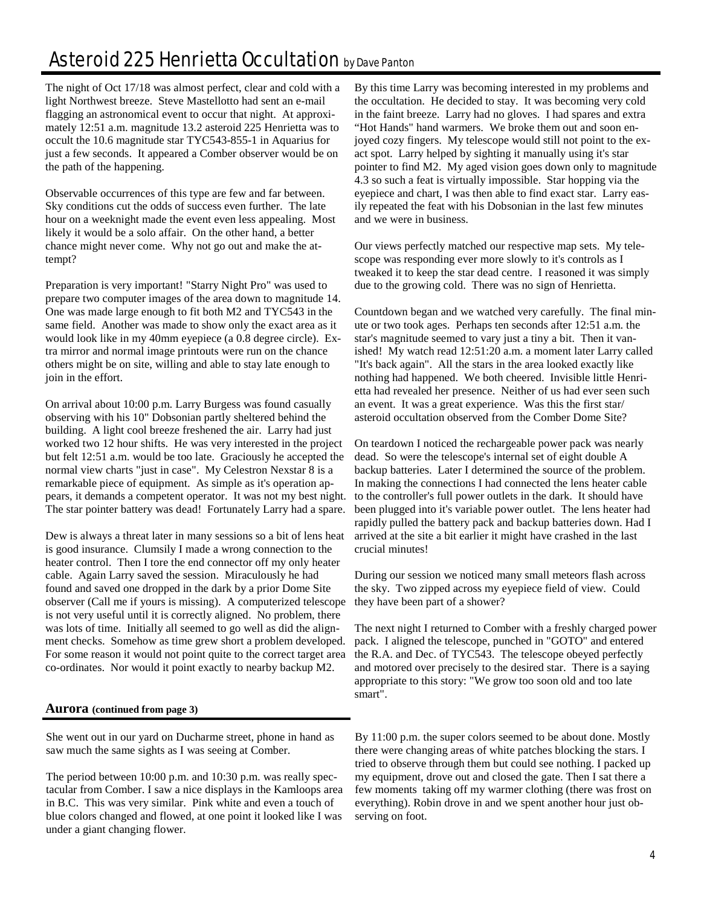## Asteroid 225 Henrietta Occultation by Dave Panton

The night of Oct 17/18 was almost perfect, clear and cold with a light Northwest breeze. Steve Mastellotto had sent an e-mail flagging an astronomical event to occur that night. At approximately 12:51 a.m. magnitude 13.2 asteroid 225 Henrietta was to occult the 10.6 magnitude star TYC543-855-1 in Aquarius for just a few seconds. It appeared a Comber observer would be on the path of the happening.

Observable occurrences of this type are few and far between. Sky conditions cut the odds of success even further. The late hour on a weeknight made the event even less appealing. Most likely it would be a solo affair. On the other hand, a better chance might never come. Why not go out and make the attempt?

Preparation is very important! "Starry Night Pro" was used to prepare two computer images of the area down to magnitude 14. One was made large enough to fit both M2 and TYC543 in the same field. Another was made to show only the exact area as it would look like in my 40mm eyepiece (a 0.8 degree circle). Extra mirror and normal image printouts were run on the chance others might be on site, willing and able to stay late enough to join in the effort.

On arrival about 10:00 p.m. Larry Burgess was found casually observing with his 10" Dobsonian partly sheltered behind the building. A light cool breeze freshened the air. Larry had just worked two 12 hour shifts. He was very interested in the project but felt 12:51 a.m. would be too late. Graciously he accepted the normal view charts "just in case". My Celestron Nexstar 8 is a remarkable piece of equipment. As simple as it's operation appears, it demands a competent operator. It was not my best night. The star pointer battery was dead! Fortunately Larry had a spare.

Dew is always a threat later in many sessions so a bit of lens heat is good insurance. Clumsily I made a wrong connection to the heater control. Then I tore the end connector off my only heater cable. Again Larry saved the session. Miraculously he had found and saved one dropped in the dark by a prior Dome Site observer (Call me if yours is missing). A computerized telescope is not very useful until it is correctly aligned. No problem, there was lots of time. Initially all seemed to go well as did the alignment checks. Somehow as time grew short a problem developed. For some reason it would not point quite to the correct target area co-ordinates. Nor would it point exactly to nearby backup M2.

#### **Aurora (continued from page 3)**

She went out in our yard on Ducharme street, phone in hand as saw much the same sights as I was seeing at Comber.

The period between 10:00 p.m. and 10:30 p.m. was really spectacular from Comber. I saw a nice displays in the Kamloops area in B.C. This was very similar. Pink white and even a touch of blue colors changed and flowed, at one point it looked like I was under a giant changing flower.

By this time Larry was becoming interested in my problems and the occultation. He decided to stay. It was becoming very cold in the faint breeze. Larry had no gloves. I had spares and extra "Hot Hands" hand warmers. We broke them out and soon enjoyed cozy fingers. My telescope would still not point to the exact spot. Larry helped by sighting it manually using it's star pointer to find M2. My aged vision goes down only to magnitude 4.3 so such a feat is virtually impossible. Star hopping via the eyepiece and chart, I was then able to find exact star. Larry easily repeated the feat with his Dobsonian in the last few minutes and we were in business.

Our views perfectly matched our respective map sets. My telescope was responding ever more slowly to it's controls as I tweaked it to keep the star dead centre. I reasoned it was simply due to the growing cold. There was no sign of Henrietta.

Countdown began and we watched very carefully. The final minute or two took ages. Perhaps ten seconds after 12:51 a.m. the star's magnitude seemed to vary just a tiny a bit. Then it vanished! My watch read 12:51:20 a.m. a moment later Larry called "It's back again". All the stars in the area looked exactly like nothing had happened. We both cheered. Invisible little Henrietta had revealed her presence. Neither of us had ever seen such an event. It was a great experience. Was this the first star/ asteroid occultation observed from the Comber Dome Site?

On teardown I noticed the rechargeable power pack was nearly dead. So were the telescope's internal set of eight double A backup batteries. Later I determined the source of the problem. In making the connections I had connected the lens heater cable to the controller's full power outlets in the dark. It should have been plugged into it's variable power outlet. The lens heater had rapidly pulled the battery pack and backup batteries down. Had I arrived at the site a bit earlier it might have crashed in the last crucial minutes!

During our session we noticed many small meteors flash across the sky. Two zipped across my eyepiece field of view. Could they have been part of a shower?

The next night I returned to Comber with a freshly charged power pack. I aligned the telescope, punched in "GOTO" and entered the R.A. and Dec. of TYC543. The telescope obeyed perfectly and motored over precisely to the desired star. There is a saying appropriate to this story: "We grow too soon old and too late smart".

By 11:00 p.m. the super colors seemed to be about done. Mostly there were changing areas of white patches blocking the stars. I tried to observe through them but could see nothing. I packed up my equipment, drove out and closed the gate. Then I sat there a few moments taking off my warmer clothing (there was frost on everything). Robin drove in and we spent another hour just observing on foot.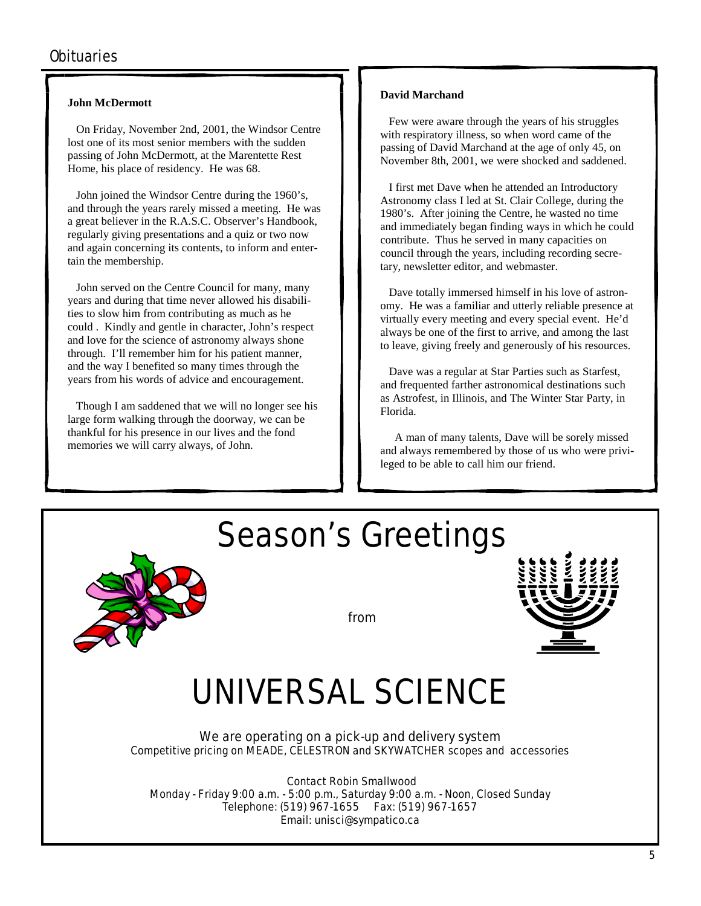#### **John McDermott**

 On Friday, November 2nd, 2001, the Windsor Centre lost one of its most senior members with the sudden passing of John McDermott, at the Marentette Rest Home, his place of residency. He was 68.

 John joined the Windsor Centre during the 1960's, and through the years rarely missed a meeting. He was a great believer in the R.A.S.C. Observer's Handbook, regularly giving presentations and a quiz or two now and again concerning its contents, to inform and entertain the membership.

 John served on the Centre Council for many, many years and during that time never allowed his disabilities to slow him from contributing as much as he could . Kindly and gentle in character, John's respect and love for the science of astronomy always shone through. I'll remember him for his patient manner, and the way I benefited so many times through the years from his words of advice and encouragement.

 Though I am saddened that we will no longer see his large form walking through the doorway, we can be thankful for his presence in our lives and the fond memories we will carry always, of John.

#### **David Marchand**

 Few were aware through the years of his struggles with respiratory illness, so when word came of the passing of David Marchand at the age of only 45, on November 8th, 2001, we were shocked and saddened.

 I first met Dave when he attended an Introductory Astronomy class I led at St. Clair College, during the 1980's. After joining the Centre, he wasted no time and immediately began finding ways in which he could contribute. Thus he served in many capacities on council through the years, including recording secretary, newsletter editor, and webmaster.

 Dave totally immersed himself in his love of astronomy. He was a familiar and utterly reliable presence at virtually every meeting and every special event. He'd always be one of the first to arrive, and among the last to leave, giving freely and generously of his resources.

 Dave was a regular at Star Parties such as Starfest, and frequented farther astronomical destinations such as Astrofest, in Illinois, and The Winter Star Party, in Florida.

 A man of many talents, Dave will be sorely missed and always remembered by those of us who were privileged to be able to call him our friend.



Season's Greetings



# UNIVERSAL SCIENCE

*We are operating on a pick-up and delivery system Competitive pricing on MEADE, CELESTRON and SKYWATCHER scopes and accessories* 

Contact Robin Smallwood Monday - Friday 9:00 a.m. - 5:00 p.m., Saturday 9:00 a.m. - Noon, Closed Sunday Telephone: (519) 967-1655 Fax: (519) 967-1657 Email: unisci@sympatico.ca